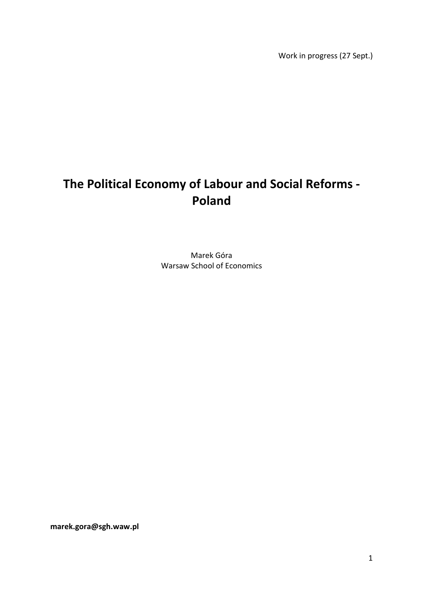Work in progress (27 Sept.)

# **The Political Economy of Labour and Social Reforms - Poland**

Marek Góra Warsaw School of Economics

**marek.gora@sgh.waw.pl**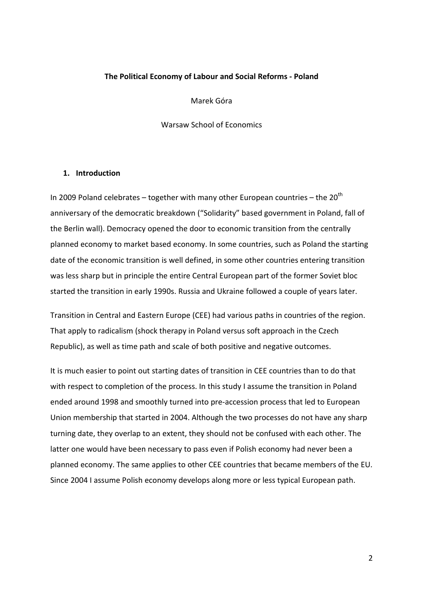#### **The Political Economy of Labour and Social Reforms - Poland**

Marek Góra

Warsaw School of Economics

#### **1. Introduction**

In 2009 Poland celebrates – together with many other European countries – the  $20^{th}$ anniversary of the democratic breakdown ("Solidarity" based government in Poland, fall of the Berlin wall). Democracy opened the door to economic transition from the centrally planned economy to market based economy. In some countries, such as Poland the starting date of the economic transition is well defined, in some other countries entering transition was less sharp but in principle the entire Central European part of the former Soviet bloc started the transition in early 1990s. Russia and Ukraine followed a couple of years later.

Transition in Central and Eastern Europe (CEE) had various paths in countries of the region. That apply to radicalism (shock therapy in Poland versus soft approach in the Czech Republic), as well as time path and scale of both positive and negative outcomes.

It is much easier to point out starting dates of transition in CEE countries than to do that with respect to completion of the process. In this study I assume the transition in Poland ended around 1998 and smoothly turned into pre-accession process that led to European Union membership that started in 2004. Although the two processes do not have any sharp turning date, they overlap to an extent, they should not be confused with each other. The latter one would have been necessary to pass even if Polish economy had never been a planned economy. The same applies to other CEE countries that became members of the EU. Since 2004 I assume Polish economy develops along more or less typical European path.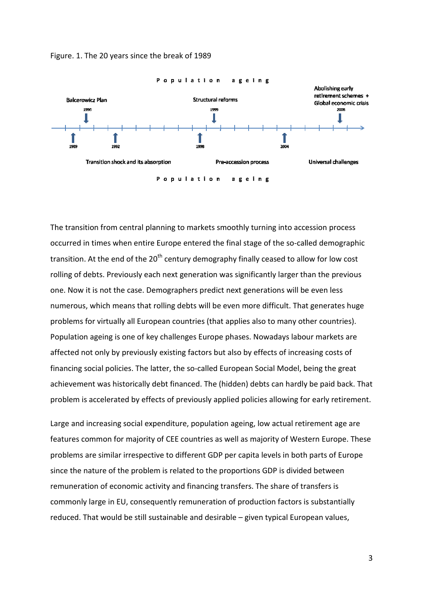

Figure. 1. The 20 years since the break of 1989

The transition from central planning to markets smoothly turning into accession process occurred in times when entire Europe entered the final stage of the so-called demographic transition. At the end of the 20<sup>th</sup> century demography finally ceased to allow for low cost rolling of debts. Previously each next generation was significantly larger than the previous one. Now it is not the case. Demographers predict next generations will be even less numerous, which means that rolling debts will be even more difficult. That generates huge problems for virtually all European countries (that applies also to many other countries) Population ageing is one of key challenges Europe phases. Nowadays labour markets are affected not only by previously existing factors but also by effects of increasing costs of financing social policies. The latter, the so-called European Social Model, being the great achievement was historically debt financed. The (hidden) debts can hardly be paid back. That problem is accelerated by effects of previously applied policies allowing for early retirement. called demograph<br>allow for low cost<br>r than the previou<br>I be even less<br>hat generates hug<br>other countries).

Large and increasing social expenditure, population ageing, low actual retirement age are features common for majority of CEE countries as well as majority of Western Europe. These problems are similar irrespective to different GDP per capita levels in both parts of Europe since the nature of the problem is related to the proportions GDP is divided between remuneration of economic activity and financing transfers. The share of transfers is commonly large in EU, consequently remuneration of production factors is substantially reduced. That would be still sustainable and desirable - given typical European values,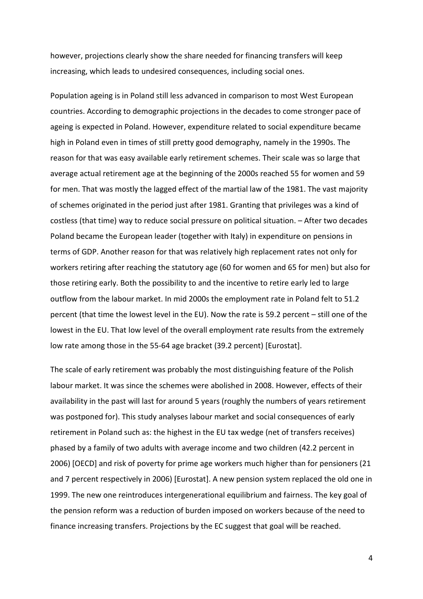however, projections clearly show the share needed for financing transfers will keep increasing, which leads to undesired consequences, including social ones.

Population ageing is in Poland still less advanced in comparison to most West European countries. According to demographic projections in the decades to come stronger pace of ageing is expected in Poland. However, expenditure related to social expenditure became high in Poland even in times of still pretty good demography, namely in the 1990s. The reason for that was easy available early retirement schemes. Their scale was so large that average actual retirement age at the beginning of the 2000s reached 55 for women and 59 for men. That was mostly the lagged effect of the martial law of the 1981. The vast majority of schemes originated in the period just after 1981. Granting that privileges was a kind of costless (that time) way to reduce social pressure on political situation. – After two decades Poland became the European leader (together with Italy) in expenditure on pensions in terms of GDP. Another reason for that was relatively high replacement rates not only for workers retiring after reaching the statutory age (60 for women and 65 for men) but also for those retiring early. Both the possibility to and the incentive to retire early led to large outflow from the labour market. In mid 2000s the employment rate in Poland felt to 51.2 percent (that time the lowest level in the EU). Now the rate is 59.2 percent – still one of the lowest in the EU. That low level of the overall employment rate results from the extremely low rate among those in the 55-64 age bracket (39.2 percent) [Eurostat].

The scale of early retirement was probably the most distinguishing feature of the Polish labour market. It was since the schemes were abolished in 2008. However, effects of their availability in the past will last for around 5 years (roughly the numbers of years retirement was postponed for). This study analyses labour market and social consequences of early retirement in Poland such as: the highest in the EU tax wedge (net of transfers receives) phased by a family of two adults with average income and two children (42.2 percent in 2006) [OECD] and risk of poverty for prime age workers much higher than for pensioners (21 and 7 percent respectively in 2006) [Eurostat]. A new pension system replaced the old one in 1999. The new one reintroduces intergenerational equilibrium and fairness. The key goal of the pension reform was a reduction of burden imposed on workers because of the need to finance increasing transfers. Projections by the EC suggest that goal will be reached.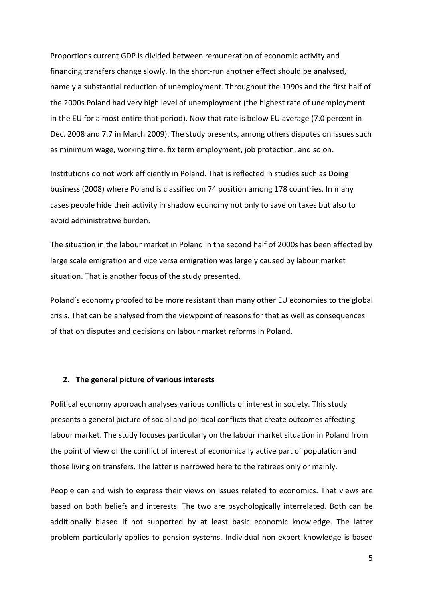Proportions current GDP is divided between remuneration of economic activity and financing transfers change slowly. In the short-run another effect should be analysed, namely a substantial reduction of unemployment. Throughout the 1990s and the first half of the 2000s Poland had very high level of unemployment (the highest rate of unemployment in the EU for almost entire that period). Now that rate is below EU average (7.0 percent in Dec. 2008 and 7.7 in March 2009). The study presents, among others disputes on issues such as minimum wage, working time, fix term employment, job protection, and so on.

Institutions do not work efficiently in Poland. That is reflected in studies such as Doing business (2008) where Poland is classified on 74 position among 178 countries. In many cases people hide their activity in shadow economy not only to save on taxes but also to avoid administrative burden.

The situation in the labour market in Poland in the second half of 2000s has been affected by large scale emigration and vice versa emigration was largely caused by labour market situation. That is another focus of the study presented.

Poland's economy proofed to be more resistant than many other EU economies to the global crisis. That can be analysed from the viewpoint of reasons for that as well as consequences of that on disputes and decisions on labour market reforms in Poland.

#### **2. The general picture of various interests**

Political economy approach analyses various conflicts of interest in society. This study presents a general picture of social and political conflicts that create outcomes affecting labour market. The study focuses particularly on the labour market situation in Poland from the point of view of the conflict of interest of economically active part of population and those living on transfers. The latter is narrowed here to the retirees only or mainly.

People can and wish to express their views on issues related to economics. That views are based on both beliefs and interests. The two are psychologically interrelated. Both can be additionally biased if not supported by at least basic economic knowledge. The latter problem particularly applies to pension systems. Individual non-expert knowledge is based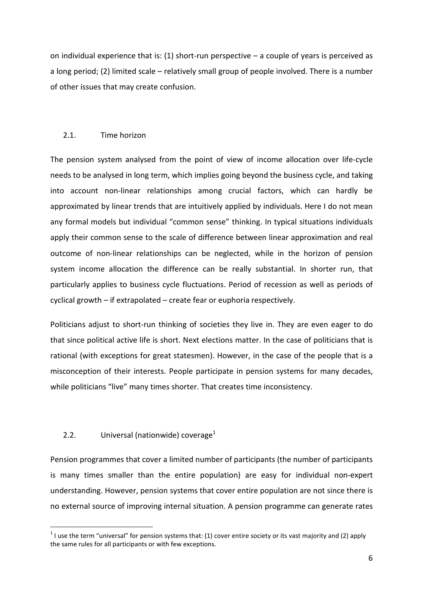on individual experience that is:  $(1)$  short-run perspective  $-$  a couple of years is perceived as a long period; (2) limited scale – relatively small group of people involved. There is a number of other issues that may create confusion.

# 2.1. Time horizon

The pension system analysed from the point of view of income allocation over life-cycle needs to be analysed in long term, which implies going beyond the business cycle, and taking into account non-linear relationships among crucial factors, which can hardly be approximated by linear trends that are intuitively applied by individuals. Here I do not mean any formal models but individual "common sense" thinking. In typical situations individuals apply their common sense to the scale of difference between linear approximation and real outcome of non-linear relationships can be neglected, while in the horizon of pension system income allocation the difference can be really substantial. In shorter run, that particularly applies to business cycle fluctuations. Period of recession as well as periods of cyclical growth – if extrapolated – create fear or euphoria respectively.

Politicians adjust to short-run thinking of societies they live in. They are even eager to do that since political active life is short. Next elections matter. In the case of politicians that is rational (with exceptions for great statesmen). However, in the case of the people that is a misconception of their interests. People participate in pension systems for many decades, while politicians "live" many times shorter. That creates time inconsistency.

# 2.2. Universal (nationwide) coverage $1$

l

Pension programmes that cover a limited number of participants (the number of participants is many times smaller than the entire population) are easy for individual non-expert understanding. However, pension systems that cover entire population are not since there is no external source of improving internal situation. A pension programme can generate rates

<sup>&</sup>lt;sup>1</sup> I use the term "universal" for pension systems that: (1) cover entire society or its vast majority and (2) apply the same rules for all participants or with few exceptions.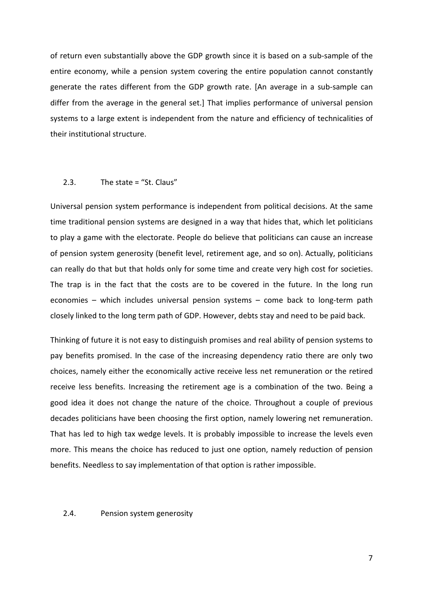of return even substantially above the GDP growth since it is based on a sub-sample of the entire economy, while a pension system covering the entire population cannot constantly generate the rates different from the GDP growth rate. [An average in a sub-sample can differ from the average in the general set.] That implies performance of universal pension systems to a large extent is independent from the nature and efficiency of technicalities of their institutional structure.

#### 2.3. The state = "St. Claus"

Universal pension system performance is independent from political decisions. At the same time traditional pension systems are designed in a way that hides that, which let politicians to play a game with the electorate. People do believe that politicians can cause an increase of pension system generosity (benefit level, retirement age, and so on). Actually, politicians can really do that but that holds only for some time and create very high cost for societies. The trap is in the fact that the costs are to be covered in the future. In the long run economies – which includes universal pension systems – come back to long-term path closely linked to the long term path of GDP. However, debts stay and need to be paid back.

Thinking of future it is not easy to distinguish promises and real ability of pension systems to pay benefits promised. In the case of the increasing dependency ratio there are only two choices, namely either the economically active receive less net remuneration or the retired receive less benefits. Increasing the retirement age is a combination of the two. Being a good idea it does not change the nature of the choice. Throughout a couple of previous decades politicians have been choosing the first option, namely lowering net remuneration. That has led to high tax wedge levels. It is probably impossible to increase the levels even more. This means the choice has reduced to just one option, namely reduction of pension benefits. Needless to say implementation of that option is rather impossible.

#### 2.4. Pension system generosity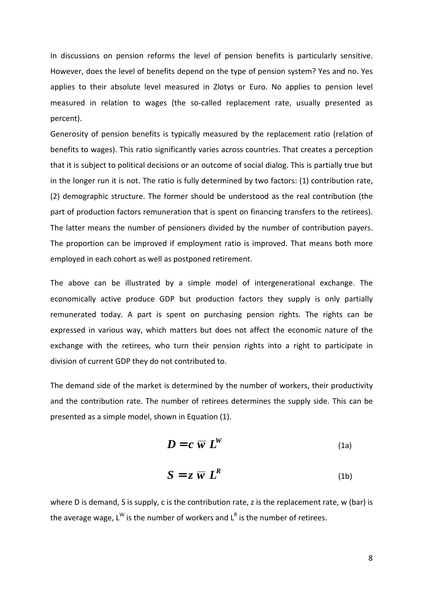In discussions on pension reforms the level of pension benefits is particularly sensitive. However, does the level of benefits depend on the type of pension system? Yes and no. Yes applies to their absolute level measured in Zlotys or Euro. No applies to pension level measured in relation to wages (the so-called replacement rate, usually presented as percent).

Generosity of pension benefits is typically measured by the replacement ratio (relation of benefits to wages). This ratio significantly varies across countries. That creates a perception that it is subject to political decisions or an outcome of social dialog. This is partially true but in the longer run it is not. The ratio is fully determined by two factors: (1) contribution rate, (2) demographic structure. The former should be understood as the real contribution (the part of production factors remuneration that is spent on financing transfers to the retirees). The latter means the number of pensioners divided by the number of contribution payers. The proportion can be improved if employment ratio is improved. That means both more employed in each cohort as well as postponed retirement.

The above can be illustrated by a simple model of intergenerational exchange. The economically active produce GDP but production factors they supply is only partially remunerated today. A part is spent on purchasing pension rights. The rights can be expressed in various way, which matters but does not affect the economic nature of the exchange with the retirees, who turn their pension rights into a right to participate in division of current GDP they do not contributed to.

The demand side of the market is determined by the number of workers, their productivity and the contribution rate. The number of retirees determines the supply side. This can be presented as a simple model, shown in Equation (1).

$$
D = c \ \overline{w} \ L^W \tag{1a}
$$

$$
S = z \overline{w} L^R \tag{1b}
$$

where D is demand, S is supply, c is the contribution rate, z is the replacement rate, w (bar) is the average wage, L<sup>W</sup> is the number of workers and L<sup>R</sup> is the number of retirees.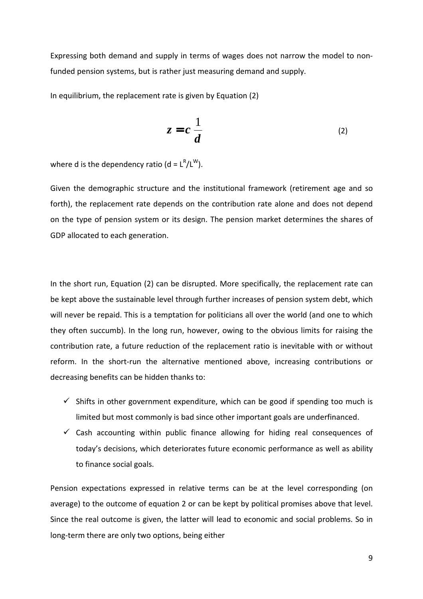Expressing both demand and supply in terms of wages does not narrow the model to nonfunded pension systems, but is rather just measuring demand and supply.

In equilibrium, the replacement rate is given by Equation (2)

$$
z = c \frac{1}{d} \tag{2}
$$

where d is the dependency ratio (d =  $L^R/L^W$ ).

Given the demographic structure and the institutional framework (retirement age and so forth), the replacement rate depends on the contribution rate alone and does not depend on the type of pension system or its design. The pension market determines the shares of GDP allocated to each generation.

In the short run, Equation (2) can be disrupted. More specifically, the replacement rate can be kept above the sustainable level through further increases of pension system debt, which will never be repaid. This is a temptation for politicians all over the world (and one to which they often succumb). In the long run, however, owing to the obvious limits for raising the contribution rate, a future reduction of the replacement ratio is inevitable with or without reform. In the short-run the alternative mentioned above, increasing contributions or decreasing benefits can be hidden thanks to:

- $\checkmark$  Shifts in other government expenditure, which can be good if spending too much is limited but most commonly is bad since other important goals are underfinanced.
- $\checkmark$  Cash accounting within public finance allowing for hiding real consequences of today's decisions, which deteriorates future economic performance as well as ability to finance social goals.

Pension expectations expressed in relative terms can be at the level corresponding (on average) to the outcome of equation 2 or can be kept by political promises above that level. Since the real outcome is given, the latter will lead to economic and social problems. So in long-term there are only two options, being either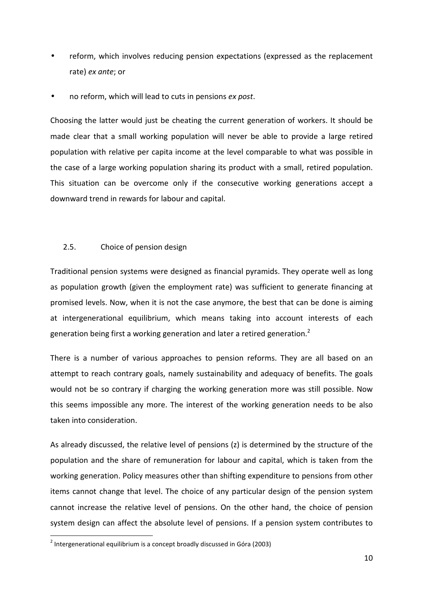- reform, which involves reducing pension expectations (expressed as the replacement rate) *ex ante*; or
- no reform, which will lead to cuts in pensions *ex post*.

Choosing the latter would just be cheating the current generation of workers. It should be made clear that a small working population will never be able to provide a large retired population with relative per capita income at the level comparable to what was possible in the case of a large working population sharing its product with a small, retired population. This situation can be overcome only if the consecutive working generations accept a downward trend in rewards for labour and capital.

# 2.5. Choice of pension design

Traditional pension systems were designed as financial pyramids. They operate well as long as population growth (given the employment rate) was sufficient to generate financing at promised levels. Now, when it is not the case anymore, the best that can be done is aiming at intergenerational equilibrium, which means taking into account interests of each generation being first a working generation and later a retired generation.<sup>2</sup>

There is a number of various approaches to pension reforms. They are all based on an attempt to reach contrary goals, namely sustainability and adequacy of benefits. The goals would not be so contrary if charging the working generation more was still possible. Now this seems impossible any more. The interest of the working generation needs to be also taken into consideration.

As already discussed, the relative level of pensions (z) is determined by the structure of the population and the share of remuneration for labour and capital, which is taken from the working generation. Policy measures other than shifting expenditure to pensions from other items cannot change that level. The choice of any particular design of the pension system cannot increase the relative level of pensions. On the other hand, the choice of pension system design can affect the absolute level of pensions. If a pension system contributes to

j

<sup>&</sup>lt;sup>2</sup> Intergenerational equilibrium is a concept broadly discussed in Góra (2003)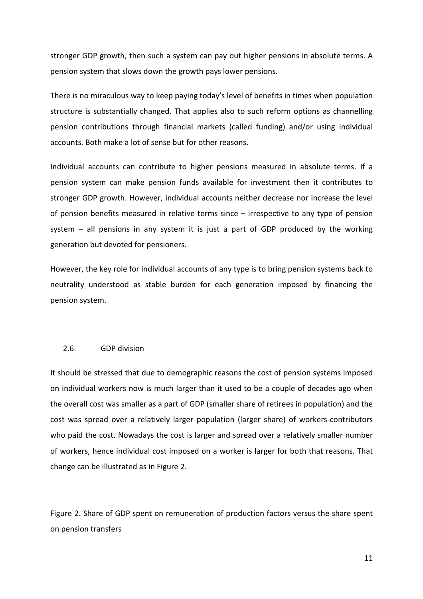stronger GDP growth, then such a system can pay out higher pensions in absolute terms. A pension system that slows down the growth pays lower pensions.

There is no miraculous way to keep paying today's level of benefits in times when population structure is substantially changed. That applies also to such reform options as channelling pension contributions through financial markets (called funding) and/or using individual accounts. Both make a lot of sense but for other reasons.

Individual accounts can contribute to higher pensions measured in absolute terms. If a pension system can make pension funds available for investment then it contributes to stronger GDP growth. However, individual accounts neither decrease nor increase the level of pension benefits measured in relative terms since – irrespective to any type of pension system – all pensions in any system it is just a part of GDP produced by the working generation but devoted for pensioners.

However, the key role for individual accounts of any type is to bring pension systems back to neutrality understood as stable burden for each generation imposed by financing the pension system.

#### 2.6. GDP division

It should be stressed that due to demographic reasons the cost of pension systems imposed on individual workers now is much larger than it used to be a couple of decades ago when the overall cost was smaller as a part of GDP (smaller share of retirees in population) and the cost was spread over a relatively larger population (larger share) of workers-contributors who paid the cost. Nowadays the cost is larger and spread over a relatively smaller number of workers, hence individual cost imposed on a worker is larger for both that reasons. That change can be illustrated as in Figure 2.

Figure 2. Share of GDP spent on remuneration of production factors versus the share spent on pension transfers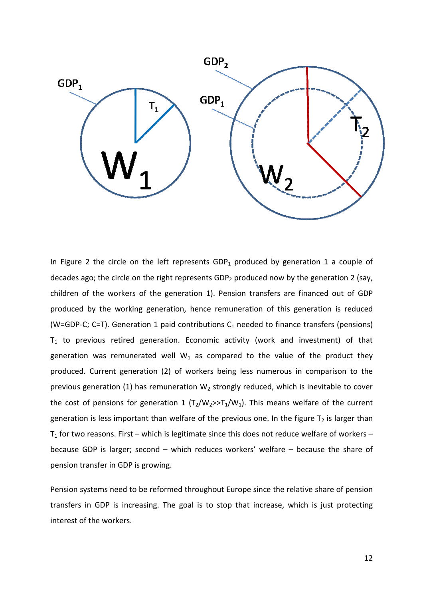

In Figure 2 the circle on the left represents  $GDP_1$  produced by generation 1 a couple of decades ago; the circle on the right represents GDP<sub>2</sub> produced now by the generation 2 (say, children of the workers of the generation 1). Pension transfers are financed out of GDP produced by the working generation, hence remuneration of this generation is reduced (W=GDP-C; C=T). Generation 1 paid contributions  $C_1$  needed to finance transfers (pensions)  $T_1$  to previous retired generation. Economic activity (work and investment) of that generation was remunerated well  $W_1$  as compared to the value of the product they produced. Current generation (2) of workers being less numerous in comparison to the previous generation (1) has remuneration  $W_2$  strongly reduced, which is inevitable to cover the cost of pensions for generation 1  $(T_2/W_2 >> T_1/W_1)$ . This means welfare of the current generation is less important than welfare of the previous one. In the figure  $T_2$  is larger than  $T_1$  for two reasons. First – which is legitimate since this does not reduce welfare of workers – because GDP is larger; second - which reduces workers' welfare - because the share of pension transfer in GDP is growing.

Pension systems need to be reformed throughout Europe since the relative share of pension transfers in GDP is increasing. The goal is to stop that increase, which is just protecting interest of the workers.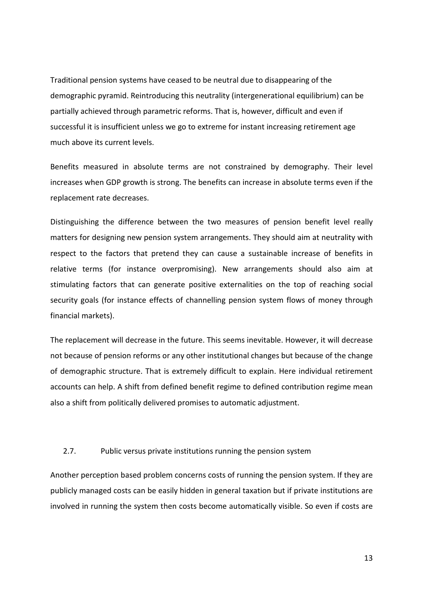Traditional pension systems have ceased to be neutral due to disappearing of the demographic pyramid. Reintroducing this neutrality (intergenerational equilibrium) can be partially achieved through parametric reforms. That is, however, difficult and even if successful it is insufficient unless we go to extreme for instant increasing retirement age much above its current levels.

Benefits measured in absolute terms are not constrained by demography. Their level increases when GDP growth is strong. The benefits can increase in absolute terms even if the replacement rate decreases.

Distinguishing the difference between the two measures of pension benefit level really matters for designing new pension system arrangements. They should aim at neutrality with respect to the factors that pretend they can cause a sustainable increase of benefits in relative terms (for instance overpromising). New arrangements should also aim at stimulating factors that can generate positive externalities on the top of reaching social security goals (for instance effects of channelling pension system flows of money through financial markets).

The replacement will decrease in the future. This seems inevitable. However, it will decrease not because of pension reforms or any other institutional changes but because of the change of demographic structure. That is extremely difficult to explain. Here individual retirement accounts can help. A shift from defined benefit regime to defined contribution regime mean also a shift from politically delivered promises to automatic adjustment.

#### 2.7. Public versus private institutions running the pension system

Another perception based problem concerns costs of running the pension system. If they are publicly managed costs can be easily hidden in general taxation but if private institutions are involved in running the system then costs become automatically visible. So even if costs are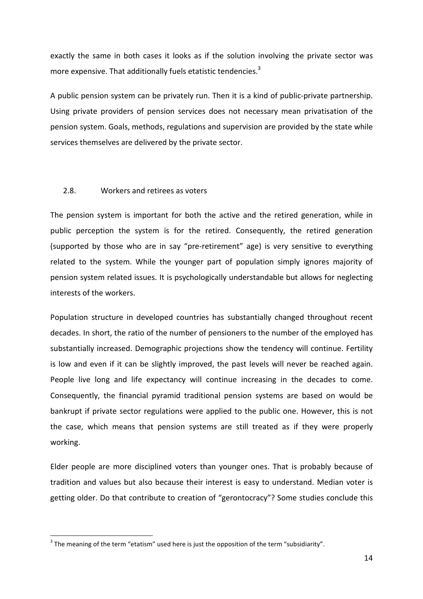exactly the same in both cases it looks as if the solution involving the private sector was more expensive. That additionally fuels etatistic tendencies. $3$ 

A public pension system can be privately run. Then it is a kind of public-private partnership. Using private providers of pension services does not necessary mean privatisation of the pension system. Goals, methods, regulations and supervision are provided by the state while services themselves are delivered by the private sector.

#### 2.8. Workers and retirees as voters

The pension system is important for both the active and the retired generation, while in public perception the system is for the retired. Consequently, the retired generation (supported by those who are in say "pre-retirement" age) is very sensitive to everything related to the system. While the younger part of population simply ignores majority of pension system related issues. It is psychologically understandable but allows for neglecting interests of the workers.

Population structure in developed countries has substantially changed throughout recent decades. In short, the ratio of the number of pensioners to the number of the employed has substantially increased. Demographic projections show the tendency will continue. Fertility is low and even if it can be slightly improved, the past levels will never be reached again. People live long and life expectancy will continue increasing in the decades to come. Consequently, the financial pyramid traditional pension systems are based on would be bankrupt if private sector regulations were applied to the public one. However, this is not the case, which means that pension systems are still treated as if they were properly working.

Elder people are more disciplined voters than younger ones. That is probably because of tradition and values but also because their interest is easy to understand. Median voter is getting older. Do that contribute to creation of "gerontocracy"? Some studies conclude this

j

 $3$  The meaning of the term "etatism" used here is just the opposition of the term "subsidiarity".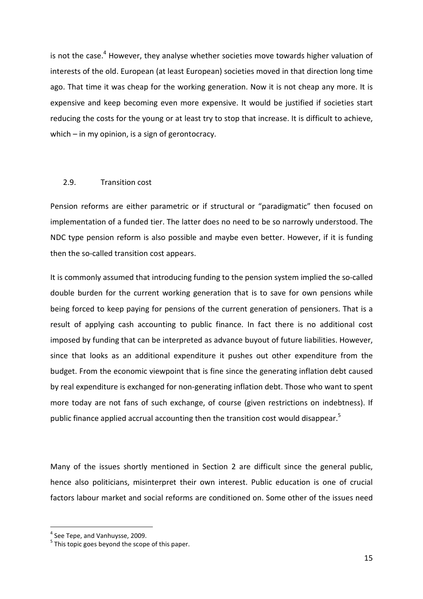is not the case.<sup>4</sup> However, they analyse whether societies move towards higher valuation of interests of the old. European (at least European) societies moved in that direction long time ago. That time it was cheap for the working generation. Now it is not cheap any more. It is expensive and keep becoming even more expensive. It would be justified if societies start reducing the costs for the young or at least try to stop that increase. It is difficult to achieve, which – in my opinion, is a sign of gerontocracy.

#### 2.9. Transition cost

Pension reforms are either parametric or if structural or "paradigmatic" then focused on implementation of a funded tier. The latter does no need to be so narrowly understood. The NDC type pension reform is also possible and maybe even better. However, if it is funding then the so-called transition cost appears.

It is commonly assumed that introducing funding to the pension system implied the so-called double burden for the current working generation that is to save for own pensions while being forced to keep paying for pensions of the current generation of pensioners. That is a result of applying cash accounting to public finance. In fact there is no additional cost imposed by funding that can be interpreted as advance buyout of future liabilities. However, since that looks as an additional expenditure it pushes out other expenditure from the budget. From the economic viewpoint that is fine since the generating inflation debt caused by real expenditure is exchanged for non-generating inflation debt. Those who want to spent more today are not fans of such exchange, of course (given restrictions on indebtness). If public finance applied accrual accounting then the transition cost would disappear.<sup>5</sup>

Many of the issues shortly mentioned in Section 2 are difficult since the general public, hence also politicians, misinterpret their own interest. Public education is one of crucial factors labour market and social reforms are conditioned on. Some other of the issues need

l

 $<sup>4</sup>$  See Tepe, and Vanhuysse, 2009.</sup>

 $<sup>5</sup>$  This topic goes beyond the scope of this paper.</sup>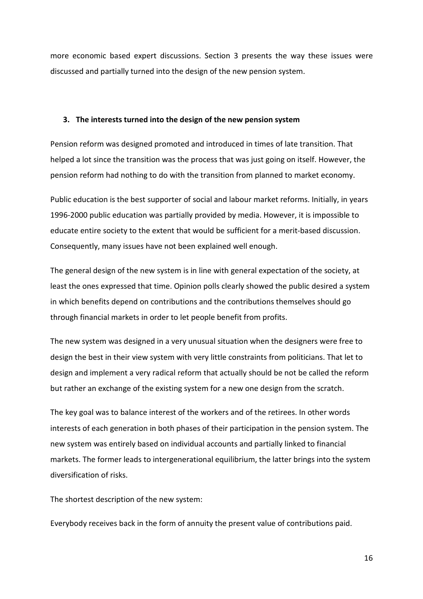more economic based expert discussions. Section 3 presents the way these issues were discussed and partially turned into the design of the new pension system.

# **3. The interests turned into the design of the new pension system**

Pension reform was designed promoted and introduced in times of late transition. That helped a lot since the transition was the process that was just going on itself. However, the pension reform had nothing to do with the transition from planned to market economy.

Public education is the best supporter of social and labour market reforms. Initially, in years 1996-2000 public education was partially provided by media. However, it is impossible to educate entire society to the extent that would be sufficient for a merit-based discussion. Consequently, many issues have not been explained well enough.

The general design of the new system is in line with general expectation of the society, at least the ones expressed that time. Opinion polls clearly showed the public desired a system in which benefits depend on contributions and the contributions themselves should go through financial markets in order to let people benefit from profits.

The new system was designed in a very unusual situation when the designers were free to design the best in their view system with very little constraints from politicians. That let to design and implement a very radical reform that actually should be not be called the reform but rather an exchange of the existing system for a new one design from the scratch.

The key goal was to balance interest of the workers and of the retirees. In other words interests of each generation in both phases of their participation in the pension system. The new system was entirely based on individual accounts and partially linked to financial markets. The former leads to intergenerational equilibrium, the latter brings into the system diversification of risks.

The shortest description of the new system:

Everybody receives back in the form of annuity the present value of contributions paid.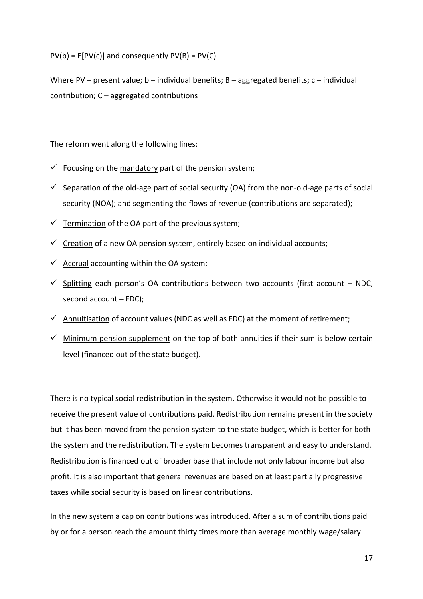$PV(b) = E[PV(c)]$  and consequently  $PV(B) = PV(C)$ 

Where PV – present value;  $b$  – individual benefits;  $B$  – aggregated benefits;  $c$  – individual contribution; C – aggregated contributions

The reform went along the following lines:

- $\checkmark$  Focusing on the mandatory part of the pension system;
- $\checkmark$  Separation of the old-age part of social security (OA) from the non-old-age parts of social security (NOA); and segmenting the flows of revenue (contributions are separated);
- $\checkmark$  Termination of the OA part of the previous system;
- $\checkmark$  Creation of a new OA pension system, entirely based on individual accounts;
- $\checkmark$  Accrual accounting within the OA system;
- $\checkmark$  Splitting each person's OA contributions between two accounts (first account NDC, second account – FDC);
- $\checkmark$  Annuitisation of account values (NDC as well as FDC) at the moment of retirement;
- $\checkmark$  Minimum pension supplement on the top of both annuities if their sum is below certain level (financed out of the state budget).

There is no typical social redistribution in the system. Otherwise it would not be possible to receive the present value of contributions paid. Redistribution remains present in the society but it has been moved from the pension system to the state budget, which is better for both the system and the redistribution. The system becomes transparent and easy to understand. Redistribution is financed out of broader base that include not only labour income but also profit. It is also important that general revenues are based on at least partially progressive taxes while social security is based on linear contributions.

In the new system a cap on contributions was introduced. After a sum of contributions paid by or for a person reach the amount thirty times more than average monthly wage/salary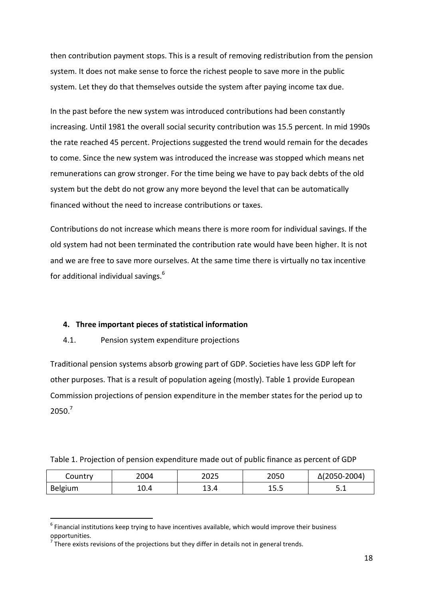then contribution payment stops. This is a result of removing redistribution from the pension system. It does not make sense to force the richest people to save more in the public system. Let they do that themselves outside the system after paying income tax due.

In the past before the new system was introduced contributions had been constantly increasing. Until 1981 the overall social security contribution was 15.5 percent. In mid 1990s the rate reached 45 percent. Projections suggested the trend would remain for the decades to come. Since the new system was introduced the increase was stopped which means net remunerations can grow stronger. For the time being we have to pay back debts of the old system but the debt do not grow any more beyond the level that can be automatically financed without the need to increase contributions or taxes.

Contributions do not increase which means there is more room for individual savings. If the old system had not been terminated the contribution rate would have been higher. It is not and we are free to save more ourselves. At the same time there is virtually no tax incentive for additional individual savings.<sup>6</sup>

# **4. Three important pieces of statistical information**

# 4.1. Pension system expenditure projections

Traditional pension systems absorb growing part of GDP. Societies have less GDP left for other purposes. That is a result of population ageing (mostly). Table 1 provide European Commission projections of pension expenditure in the member states for the period up to 2050.<sup>7</sup>

|  |  |  | Table 1. Projection of pension expenditure made out of public finance as percent of GDP |
|--|--|--|-----------------------------------------------------------------------------------------|
|  |  |  |                                                                                         |

| Country | 2004 | 2025 | 2050 | $\Delta(2050 - 2004)$ |
|---------|------|------|------|-----------------------|
| Belgium | 10.4 | 13.4 | 15.5 | ـ . ـ                 |

 $<sup>6</sup>$  Financial institutions keep trying to have incentives available, which would improve their business</sup> opportunities.

l

 $\frac{7}{1}$  There exists revisions of the projections but they differ in details not in general trends.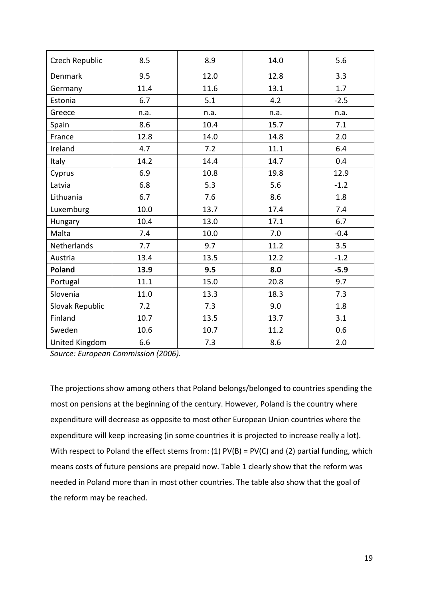| Czech Republic  | 8.5  | 8.9  | 14.0 | 5.6    |
|-----------------|------|------|------|--------|
| <b>Denmark</b>  | 9.5  | 12.0 | 12.8 | 3.3    |
| Germany         | 11.4 | 11.6 | 13.1 | 1.7    |
| Estonia         | 6.7  | 5.1  | 4.2  | $-2.5$ |
| Greece          | n.a. | n.a. | n.a. | n.a.   |
| Spain           | 8.6  | 10.4 | 15.7 | 7.1    |
| France          | 12.8 | 14.0 | 14.8 | 2.0    |
| Ireland         | 4.7  | 7.2  | 11.1 | 6.4    |
| Italy           | 14.2 | 14.4 | 14.7 | 0.4    |
| Cyprus          | 6.9  | 10.8 | 19.8 | 12.9   |
| Latvia          | 6.8  | 5.3  | 5.6  | $-1.2$ |
| Lithuania       | 6.7  | 7.6  | 8.6  | 1.8    |
| Luxemburg       | 10.0 | 13.7 | 17.4 | 7.4    |
| Hungary         | 10.4 | 13.0 | 17.1 | 6.7    |
| Malta           | 7.4  | 10.0 | 7.0  | $-0.4$ |
| Netherlands     | 7.7  | 9.7  | 11.2 | 3.5    |
| Austria         | 13.4 | 13.5 | 12.2 | $-1.2$ |
| Poland          | 13.9 | 9.5  | 8.0  | $-5.9$ |
| Portugal        | 11.1 | 15.0 | 20.8 | 9.7    |
| Slovenia        | 11.0 | 13.3 | 18.3 | 7.3    |
| Slovak Republic | 7.2  | 7.3  | 9.0  | 1.8    |
| Finland         | 10.7 | 13.5 | 13.7 | 3.1    |
| Sweden          | 10.6 | 10.7 | 11.2 | 0.6    |
| United Kingdom  | 6.6  | 7.3  | 8.6  | 2.0    |

*Source: European Commission (2006).* 

The projections show among others that Poland belongs/belonged to countries spending the most on pensions at the beginning of the century. However, Poland is the country where expenditure will decrease as opposite to most other European Union countries where the expenditure will keep increasing (in some countries it is projected to increase really a lot). With respect to Poland the effect stems from: (1)  $PV(B) = PV(C)$  and (2) partial funding, which means costs of future pensions are prepaid now. Table 1 clearly show that the reform was needed in Poland more than in most other countries. The table also show that the goal of the reform may be reached.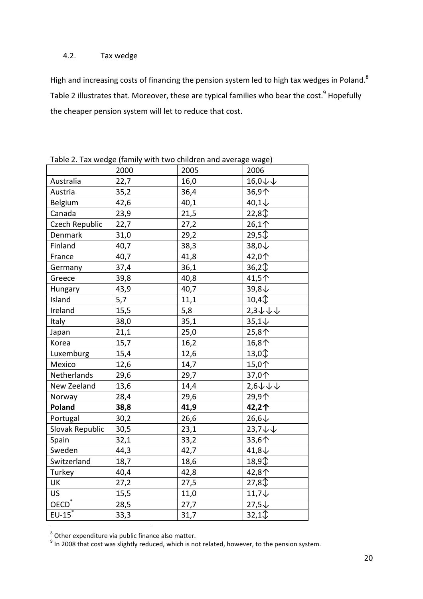# 4.2. Tax wedge

High and increasing costs of financing the pension system led to high tax wedges in Poland.<sup>8</sup> Table 2 illustrates that. Moreover, these are typical families who bear the cost. $^9$  Hopefully the cheaper pension system will let to reduce that cost.

|                 | $1.97.119802$ (1911) | $100$ and $100$ and $100$ |                   |
|-----------------|----------------------|---------------------------|-------------------|
|                 | 2000                 | 2005                      | 2006              |
| Australia       | 22,7                 | 16,0                      | 16,0↓↓            |
| Austria         | 35,2                 | 36,4                      | 36,9个             |
| Belgium         | 42,6                 | 40,1                      | $40,1\downarrow$  |
| Canada          | 23,9                 | 21,5                      | 22,81             |
| Czech Republic  | 22,7                 | 27,2                      | 26,1个             |
| Denmark         | 31,0                 | 29,2                      | 29,5              |
| Finland         | 40,7                 | 38,3                      | 38,0↓             |
| France          | 40,7                 | 41,8                      | 42,0个             |
| Germany         | 37,4                 | 36,1                      | 36,2              |
| Greece          | 39,8                 | 40,8                      | 41,5个             |
| Hungary         | 43,9                 | 40,7                      | 39,8↓             |
| Island          | 5,7                  | 11,1                      | 10,4              |
| Ireland         | 15,5                 | 5,8                       | 2,3↓↓↓            |
| Italy           | 38,0                 | 35,1                      | $35,1\downarrow$  |
| Japan           | 21,1                 | 25,0                      | 25,8个             |
| Korea           | 15,7                 | 16,2                      | 16,8个             |
| Luxemburg       | 15,4                 | 12,6                      | 13,0 ↓            |
| Mexico          | 12,6                 | 14,7                      | 15,0个             |
| Netherlands     | 29,6                 | 29,7                      | 37,0个             |
| New Zeeland     | 13,6                 | 14,4                      | 2,6↓↓↓            |
| Norway          | 28,4                 | 29,6                      | 29,9个             |
| Poland          | 38,8                 | 41,9                      | 42,2个             |
| Portugal        | 30,2                 | 26,6                      | $26,6\downarrow$  |
| Slovak Republic | 30,5                 | 23,1                      | 23,7↓↓            |
| Spain           | 32,1                 | 33,2                      | 33,6个             |
| Sweden          | 44,3                 | 42,7                      | $41,8\downarrow$  |
| Switzerland     | 18,7                 | 18,6                      | 18,9 <sup>1</sup> |
| Turkey          | 40,4                 | 42,8                      | 42,8个             |
| UK              | 27,2                 | 27,5                      | $27,8\sqrt{T}$    |
| <b>US</b>       | 15,5                 | 11,0                      | $11,7 \downarrow$ |
| $OECD^*$        | 28,5                 | 27,7                      | $27,5 \downarrow$ |
| $EU-15$         | 33,3                 | 31,7                      | 32,11             |

Table 2. Tax wedge (family with two children and average wage)

e<br><sup>8</sup> Other expenditure via public finance also matter.<br><sup>9</sup> In 2008 that cost was slightly reduced, which is not related, however, to the pension system.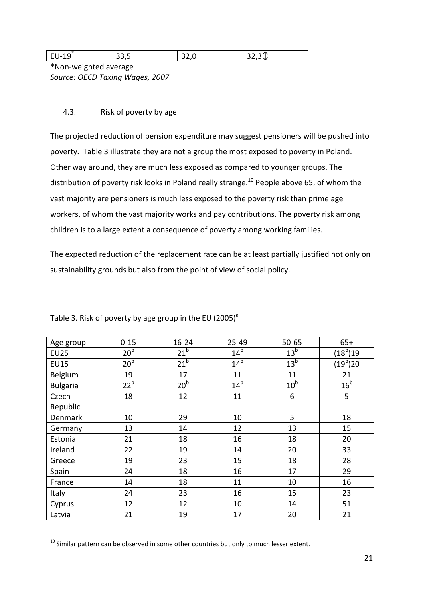| <b>14</b><br>.<br><b>سـد</b><br>-- | ົ<br>- 77,7 | ₩<br>ر ے ر |
|------------------------------------|-------------|------------|
| .                                  |             |            |

\*Non-weighted average *Source: OECD Taxing Wages, 2007*

# 4.3. Risk of poverty by age

The projected reduction of pension expenditure may suggest pensioners will be pushed into poverty. Table 3 illustrate they are not a group the most exposed to poverty in Poland. Other way around, they are much less exposed as compared to younger groups. The distribution of poverty risk looks in Poland really strange.<sup>10</sup> People above 65, of whom the vast majority are pensioners is much less exposed to the poverty risk than prime age workers, of whom the vast majority works and pay contributions. The poverty risk among children is to a large extent a consequence of poverty among working families.

The expected reduction of the replacement rate can be at least partially justified not only on sustainability grounds but also from the point of view of social policy.

| Age group       | $0 - 15$        | $16 - 24$       | 25-49           | $50 - 65$       | $65+$                |
|-----------------|-----------------|-----------------|-----------------|-----------------|----------------------|
| <b>EU25</b>     | 20 <sup>b</sup> | 21 <sup>b</sup> | 14 <sup>b</sup> | 13 <sup>b</sup> | $(18^{\rm b})$ 19    |
| <b>EU15</b>     | 20 <sup>b</sup> | 21 <sup>b</sup> | 14 <sup>b</sup> | 13 <sup>b</sup> | (19 <sup>b</sup> )20 |
| Belgium         | 19              | 17              | 11              | 11              | 21                   |
| <b>Bulgaria</b> | 22 <sup>b</sup> | 20 <sup>b</sup> | 14 <sup>b</sup> | 10 <sup>b</sup> | 16 <sup>b</sup>      |
| Czech           | 18              | 12              | 11              | 6               | 5                    |
| Republic        |                 |                 |                 |                 |                      |
| Denmark         | 10              | 29              | 10              | 5               | 18                   |
| Germany         | 13              | 14              | 12              | 13              | 15                   |
| Estonia         | 21              | 18              | 16              | 18              | 20                   |
| Ireland         | 22              | 19              | 14              | 20              | 33                   |
| Greece          | 19              | 23              | 15              | 18              | 28                   |
| Spain           | 24              | 18              | 16              | 17              | 29                   |
| France          | 14              | 18              | 11              | 10              | 16                   |
| Italy           | 24              | 23              | 16              | 15              | 23                   |
| Cyprus          | 12              | 12              | 10              | 14              | 51                   |
| Latvia          | 21              | 19              | 17              | 20              | 21                   |

Table 3. Risk of poverty by age group in the EU (2005)<sup>a</sup>

j

 $^{10}$  Similar pattern can be observed in some other countries but only to much lesser extent.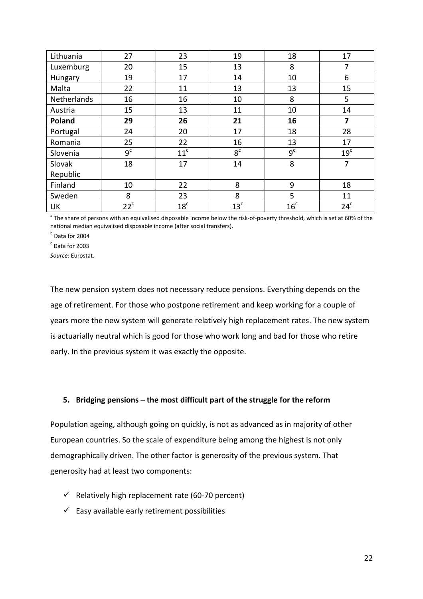| Lithuania   | 27             | 23              | 19              | 18              | 17              |
|-------------|----------------|-----------------|-----------------|-----------------|-----------------|
| Luxemburg   | 20             | 15              | 13              | 8               | 7               |
| Hungary     | 19             | 17              | 14              | 10              | 6               |
| Malta       | 22             | 11              | 13              | 13              | 15              |
| Netherlands | 16             | 16              | 10              | 8               | 5               |
| Austria     | 15             | 13              | 11              | 10              | 14              |
| Poland      | 29             | 26              | 21              | 16              | 7               |
| Portugal    | 24             | 20              | 17              | 18              | 28              |
| Romania     | 25             | 22              | 16              | 13              | 17              |
| Slovenia    | 9 <sup>c</sup> | 11 <sup>c</sup> | 8 <sup>c</sup>  | 9 <sup>c</sup>  | 19 <sup>c</sup> |
| Slovak      | 18             | 17              | 14              | 8               | 7               |
| Republic    |                |                 |                 |                 |                 |
| Finland     | 10             | 22              | 8               | 9               | 18              |
| Sweden      | 8              | 23              | 8               | 5               | 11              |
| UK          | $22^c$         | 18 <sup>c</sup> | 13 <sup>c</sup> | 16 <sup>c</sup> | 24 <sup>c</sup> |

<sup>a</sup> The share of persons with an equivalised disposable income below the risk-of-poverty threshold, which is set at 60% of the national median equivalised disposable income (after social transfers).

**b** Data for 2004

 $\degree$  Data for 2003

*Source*: Eurostat.

The new pension system does not necessary reduce pensions. Everything depends on the age of retirement. For those who postpone retirement and keep working for a couple of years more the new system will generate relatively high replacement rates. The new system is actuarially neutral which is good for those who work long and bad for those who retire early. In the previous system it was exactly the opposite.

# **5. Bridging pensions – the most difficult part of the struggle for the reform**

Population ageing, although going on quickly, is not as advanced as in majority of other European countries. So the scale of expenditure being among the highest is not only demographically driven. The other factor is generosity of the previous system. That generosity had at least two components:

- $\checkmark$  Relatively high replacement rate (60-70 percent)
- $\checkmark$  Easy available early retirement possibilities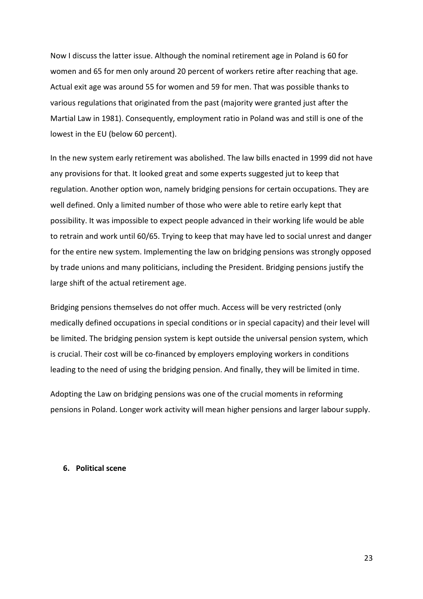Now I discuss the latter issue. Although the nominal retirement age in Poland is 60 for women and 65 for men only around 20 percent of workers retire after reaching that age. Actual exit age was around 55 for women and 59 for men. That was possible thanks to various regulations that originated from the past (majority were granted just after the Martial Law in 1981). Consequently, employment ratio in Poland was and still is one of the lowest in the EU (below 60 percent).

In the new system early retirement was abolished. The law bills enacted in 1999 did not have any provisions for that. It looked great and some experts suggested jut to keep that regulation. Another option won, namely bridging pensions for certain occupations. They are well defined. Only a limited number of those who were able to retire early kept that possibility. It was impossible to expect people advanced in their working life would be able to retrain and work until 60/65. Trying to keep that may have led to social unrest and danger for the entire new system. Implementing the law on bridging pensions was strongly opposed by trade unions and many politicians, including the President. Bridging pensions justify the large shift of the actual retirement age.

Bridging pensions themselves do not offer much. Access will be very restricted (only medically defined occupations in special conditions or in special capacity) and their level will be limited. The bridging pension system is kept outside the universal pension system, which is crucial. Their cost will be co-financed by employers employing workers in conditions leading to the need of using the bridging pension. And finally, they will be limited in time.

Adopting the Law on bridging pensions was one of the crucial moments in reforming pensions in Poland. Longer work activity will mean higher pensions and larger labour supply.

#### **6. Political scene**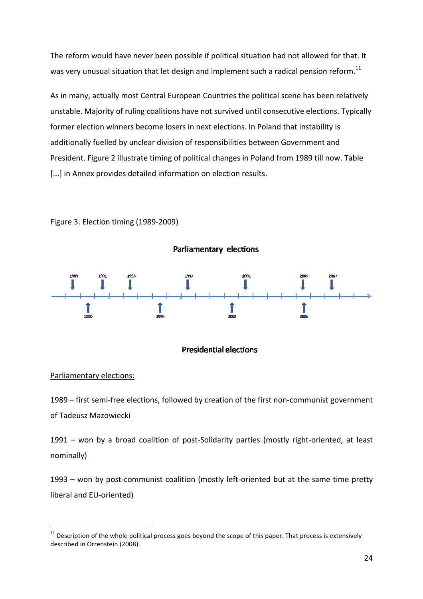The reform would have never been possible if political situation had not allowed for that. It was very unusual situation that let design and implement such a radical pension reform.<sup>11</sup>

As in many, actually most Central European Countries the political scene has been relatively unstable. Majority of ruling coalitions have not survived until consecutive elections. Typically unstable. Majority of ruling coalitions have not survived until consecutive elections.<br>former election winners become losers in next elections. In Poland that instability is additionally fuelled by unclear division of responsibilities between Government and President. Figure 2 illustrate timing of political changes in Poland from 1989 till now. Table [...] in Annex provides detailed information on election results.<br>Figure 3. Election timing (1989-2009)



Figure 3. Election timing (1989

# **Presidential elections**

# Parliamentary elections:

l

l

1989 - first semi-free elections, followed by creation of the first non-communist government of Tadeusz Mazowiecki 1989 – first semi-free elections, followed by creation of the first non-communist government<br>of Tadeusz Mazowiecki<br>1991 – won by a broad coalition of post-Solidarity parties (mostly right-oriented, at least

nominally)

1993 - won by post-communist coalition (mostly left-oriented but at the same time pretty liberal and EU-oriented)

 $11$  Description of the whole political process goes beyond the scope of this paper. That process is extensively described in Orrenstein (2008).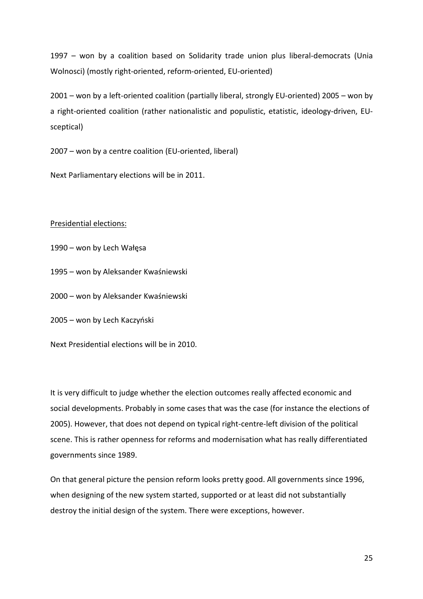1997 – won by a coalition based on Solidarity trade union plus liberal-democrats (Unia Wolnosci) (mostly right-oriented, reform-oriented, EU-oriented)

2001 – won by a left-oriented coalition (partially liberal, strongly EU-oriented) 2005 – won by a right-oriented coalition (rather nationalistic and populistic, etatistic, ideology-driven, EUsceptical)

2007 – won by a centre coalition (EU-oriented, liberal)

Next Parliamentary elections will be in 2011.

# Presidential elections:

- 1990 won by Lech Wałęsa
- 1995 won by Aleksander Kwaśniewski
- 2000 won by Aleksander Kwaśniewski
- 2005 won by Lech Kaczyński
- Next Presidential elections will be in 2010.

It is very difficult to judge whether the election outcomes really affected economic and social developments. Probably in some cases that was the case (for instance the elections of 2005). However, that does not depend on typical right-centre-left division of the political scene. This is rather openness for reforms and modernisation what has really differentiated governments since 1989.

On that general picture the pension reform looks pretty good. All governments since 1996, when designing of the new system started, supported or at least did not substantially destroy the initial design of the system. There were exceptions, however.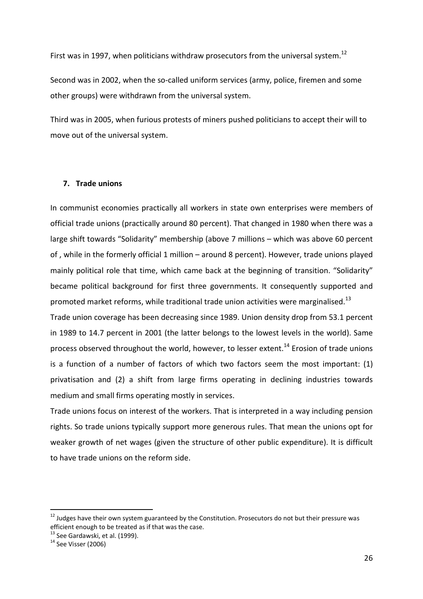First was in 1997, when politicians withdraw prosecutors from the universal system.<sup>12</sup>

Second was in 2002, when the so-called uniform services (army, police, firemen and some other groups) were withdrawn from the universal system.

Third was in 2005, when furious protests of miners pushed politicians to accept their will to move out of the universal system.

# **7. Trade unions**

In communist economies practically all workers in state own enterprises were members of official trade unions (practically around 80 percent). That changed in 1980 when there was a large shift towards "Solidarity" membership (above 7 millions – which was above 60 percent of , while in the formerly official 1 million – around 8 percent). However, trade unions played mainly political role that time, which came back at the beginning of transition. "Solidarity" became political background for first three governments. It consequently supported and promoted market reforms, while traditional trade union activities were marginalised.<sup>13</sup>

Trade union coverage has been decreasing since 1989. Union density drop from 53.1 percent in 1989 to 14.7 percent in 2001 (the latter belongs to the lowest levels in the world). Same process observed throughout the world, however, to lesser extent.<sup>14</sup> Erosion of trade unions is a function of a number of factors of which two factors seem the most important: (1) privatisation and (2) a shift from large firms operating in declining industries towards medium and small firms operating mostly in services.

Trade unions focus on interest of the workers. That is interpreted in a way including pension rights. So trade unions typically support more generous rules. That mean the unions opt for weaker growth of net wages (given the structure of other public expenditure). It is difficult to have trade unions on the reform side.

j

<sup>&</sup>lt;sup>12</sup> Judges have their own system guaranteed by the Constitution. Prosecutors do not but their pressure was efficient enough to be treated as if that was the case.

 $13$  See Gardawski, et al. (1999).

 $14$  See Visser (2006)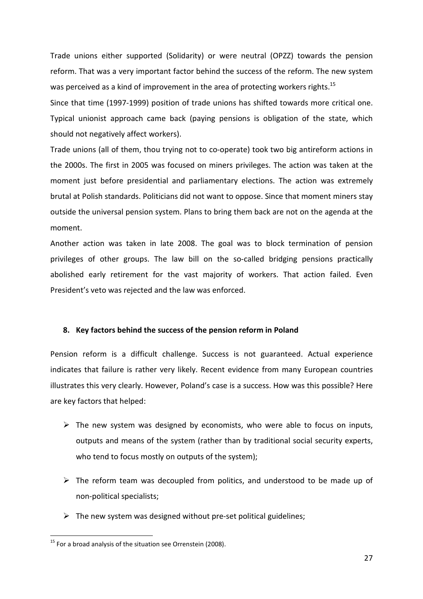Trade unions either supported (Solidarity) or were neutral (OPZZ) towards the pension reform. That was a very important factor behind the success of the reform. The new system was perceived as a kind of improvement in the area of protecting workers rights.<sup>15</sup>

Since that time (1997-1999) position of trade unions has shifted towards more critical one. Typical unionist approach came back (paying pensions is obligation of the state, which should not negatively affect workers).

Trade unions (all of them, thou trying not to co-operate) took two big antireform actions in the 2000s. The first in 2005 was focused on miners privileges. The action was taken at the moment just before presidential and parliamentary elections. The action was extremely brutal at Polish standards. Politicians did not want to oppose. Since that moment miners stay outside the universal pension system. Plans to bring them back are not on the agenda at the moment.

Another action was taken in late 2008. The goal was to block termination of pension privileges of other groups. The law bill on the so-called bridging pensions practically abolished early retirement for the vast majority of workers. That action failed. Even President's veto was rejected and the law was enforced.

#### **8. Key factors behind the success of the pension reform in Poland**

Pension reform is a difficult challenge. Success is not guaranteed. Actual experience indicates that failure is rather very likely. Recent evidence from many European countries illustrates this very clearly. However, Poland's case is a success. How was this possible? Here are key factors that helped:

- > The new system was designed by economists, who were able to focus on inputs, outputs and means of the system (rather than by traditional social security experts, who tend to focus mostly on outputs of the system);
- > The reform team was decoupled from politics, and understood to be made up of non-political specialists;
- > The new system was designed without pre-set political guidelines;

j

<sup>&</sup>lt;sup>15</sup> For a broad analysis of the situation see Orrenstein (2008).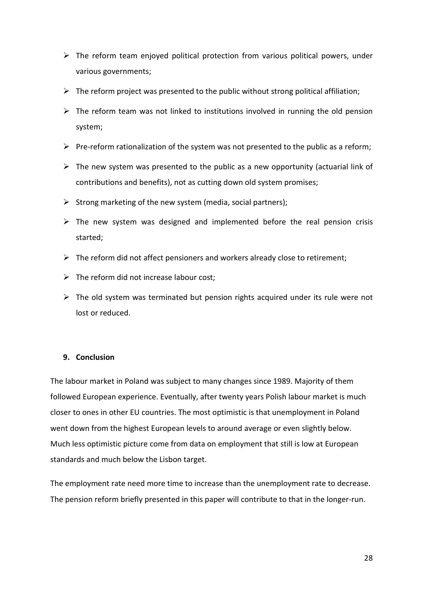- > The reform team enjoyed political protection from various political powers, under various governments;
- > The reform project was presented to the public without strong political affiliation;
- > The reform team was not linked to institutions involved in running the old pension system;
- Pre-reform rationalization of the system was not presented to the public as a reform;
- > The new system was presented to the public as a new opportunity (actuarial link of contributions and benefits), not as cutting down old system promises;
- > Strong marketing of the new system (media, social partners);
- > The new system was designed and implemented before the real pension crisis started;
- > The reform did not affect pensioners and workers already close to retirement;
- > The reform did not increase labour cost;
- > The old system was terminated but pension rights acquired under its rule were not lost or reduced.

# **9. Conclusion**

The labour market in Poland was subject to many changes since 1989. Majority of them followed European experience. Eventually, after twenty years Polish labour market is much closer to ones in other EU countries. The most optimistic is that unemployment in Poland went down from the highest European levels to around average or even slightly below. Much less optimistic picture come from data on employment that still is low at European standards and much below the Lisbon target.

The employment rate need more time to increase than the unemployment rate to decrease. The pension reform briefly presented in this paper will contribute to that in the longer-run.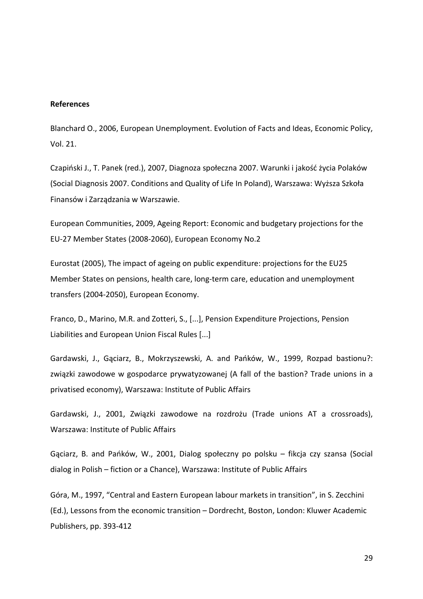#### **References**

Blanchard O., 2006, European Unemployment. Evolution of Facts and Ideas, Economic Policy, Vol. 21.

Czapiński J., T. Panek (red.), 2007, Diagnoza społeczna 2007. Warunki i jakość życia Polaków (Social Diagnosis 2007. Conditions and Quality of Life In Poland), Warszawa: Wyższa Szkoła Finansów i Zarządzania w Warszawie.

European Communities, 2009, Ageing Report: Economic and budgetary projections for the EU-27 Member States (2008-2060), European Economy No.2

Eurostat (2005), The impact of ageing on public expenditure: projections for the EU25 Member States on pensions, health care, long-term care, education and unemployment transfers (2004-2050), European Economy.

Franco, D., Marino, M.R. and Zotteri, S., [...], Pension Expenditure Projections, Pension Liabilities and European Union Fiscal Rules [...]

Gardawski, J., Gąciarz, B., Mokrzyszewski, A. and Pańków, W., 1999, Rozpad bastionu?: związki zawodowe w gospodarce prywatyzowanej (A fall of the bastion? Trade unions in a privatised economy), Warszawa: Institute of Public Affairs

Gardawski, J., 2001, Związki zawodowe na rozdrożu (Trade unions AT a crossroads), Warszawa: Institute of Public Affairs

Gąciarz, B. and Pańków, W., 2001, Dialog społeczny po polsku – fikcja czy szansa (Social dialog in Polish – fiction or a Chance), Warszawa: Institute of Public Affairs

Góra, M., 1997, "Central and Eastern European labour markets in transition", in S. Zecchini (Ed.), Lessons from the economic transition – Dordrecht, Boston, London: Kluwer Academic Publishers, pp. 393-412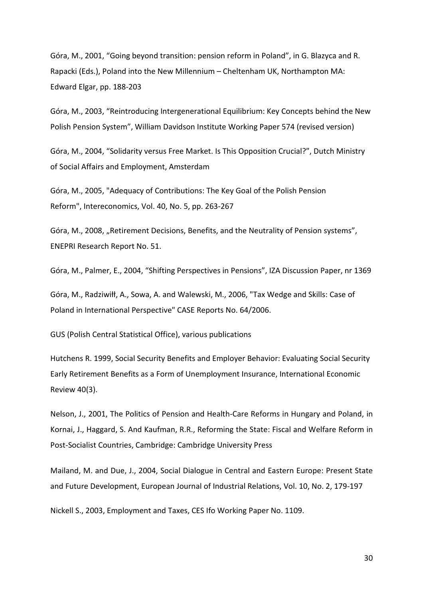Góra, M., 2001, "Going beyond transition: pension reform in Poland", in G. Blazyca and R. Rapacki (Eds.), Poland into the New Millennium – Cheltenham UK, Northampton MA: Edward Elgar, pp. 188-203

Góra, M., 2003, "Reintroducing Intergenerational Equilibrium: Key Concepts behind the New Polish Pension System", William Davidson Institute Working Paper 574 (revised version)

Góra, M., 2004, "Solidarity versus Free Market. Is This Opposition Crucial?", Dutch Ministry of Social Affairs and Employment, Amsterdam

Góra, M., 2005, "Adequacy of Contributions: The Key Goal of the Polish Pension Reform", Intereconomics, Vol. 40, No. 5, pp. 263-267

Góra, M., 2008, "Retirement Decisions, Benefits, and the Neutrality of Pension systems", ENEPRI Research Report No. 51.

Góra, M., Palmer, E., 2004, "Shifting Perspectives in Pensions", IZA Discussion Paper, nr 1369

Góra, M., Radziwiłł, A., Sowa, A. and Walewski, M., 2006, "Tax Wedge and Skills: Case of Poland in International Perspective" CASE Reports No. 64/2006.

GUS (Polish Central Statistical Office), various publications

Hutchens R. 1999, Social Security Benefits and Employer Behavior: Evaluating Social Security Early Retirement Benefits as a Form of Unemployment Insurance, International Economic Review 40(3).

Nelson, J., 2001, The Politics of Pension and Health-Care Reforms in Hungary and Poland, in Kornai, J., Haggard, S. And Kaufman, R.R., Reforming the State: Fiscal and Welfare Reform in Post-Socialist Countries, Cambridge: Cambridge University Press

Mailand, M. and Due, J., 2004, Social Dialogue in Central and Eastern Europe: Present State and Future Development, European Journal of Industrial Relations, Vol. 10, No. 2, 179-197

Nickell S., 2003, Employment and Taxes, CES Ifo Working Paper No. 1109.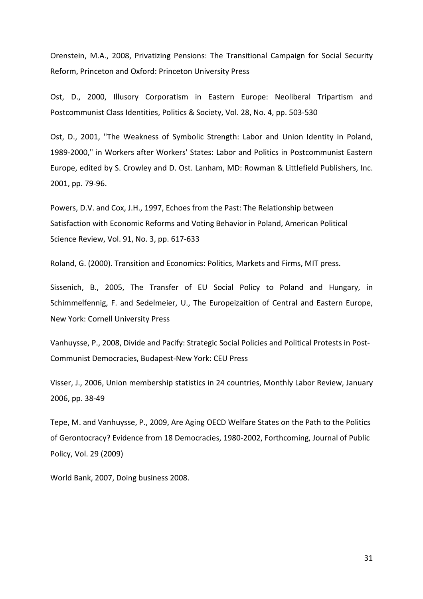Orenstein, M.A., 2008, Privatizing Pensions: The Transitional Campaign for Social Security Reform, Princeton and Oxford: Princeton University Press

Ost, D., 2000, Illusory Corporatism in Eastern Europe: Neoliberal Tripartism and Postcommunist Class Identities, Politics & Society, Vol. 28, No. 4, pp. 503-530

Ost, D., 2001, "The Weakness of Symbolic Strength: Labor and Union Identity in Poland, 1989-2000," in Workers after Workers' States: Labor and Politics in Postcommunist Eastern Europe, edited by S. Crowley and D. Ost. Lanham, MD: Rowman & Littlefield Publishers, Inc. 2001, pp. 79-96.

Powers, D.V. and Cox, J.H., 1997, Echoes from the Past: The Relationship between Satisfaction with Economic Reforms and Voting Behavior in Poland, American Political Science Review, Vol. 91, No. 3, pp. 617-633

Roland, G. (2000). Transition and Economics: Politics, Markets and Firms, MIT press.

Sissenich, B., 2005, The Transfer of EU Social Policy to Poland and Hungary, in Schimmelfennig, F. and Sedelmeier, U., The Europeizaition of Central and Eastern Europe, New York: Cornell University Press

Vanhuysse, P., 2008, Divide and Pacify: Strategic Social Policies and Political Protests in Post-Communist Democracies, Budapest-New York: CEU Press

Visser, J., 2006, Union membership statistics in 24 countries, Monthly Labor Review, January 2006, pp. 38-49

Tepe, M. and Vanhuysse, P., 2009, Are Aging OECD Welfare States on the Path to the Politics of Gerontocracy? Evidence from 18 Democracies, 1980-2002, Forthcoming, Journal of Public Policy, Vol. 29 (2009)

World Bank, 2007, Doing business 2008.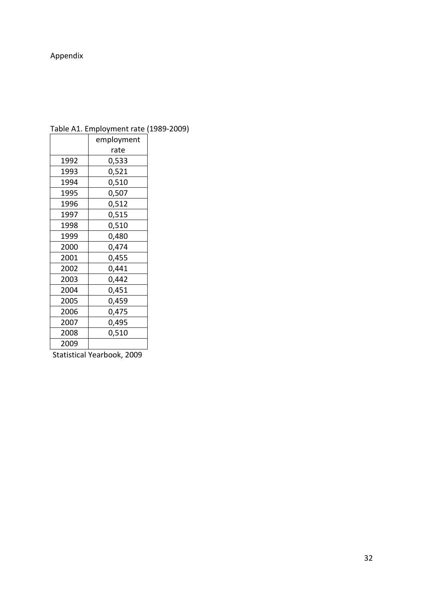# Appendix

| employment |
|------------|
| rate       |
| 0,533      |
| 0,521      |
| 0,510      |
| 0,507      |
| 0,512      |
| 0,515      |
| 0,510      |
| 0,480      |
| 0,474      |
| 0,455      |
| 0,441      |
| 0,442      |
| 0,451      |
| 0,459      |
| 0,475      |
| 0,495      |
| 0,510      |
|            |
|            |

Table A1. Employment rate (1989-2009)

Statistical Yearbook, 2009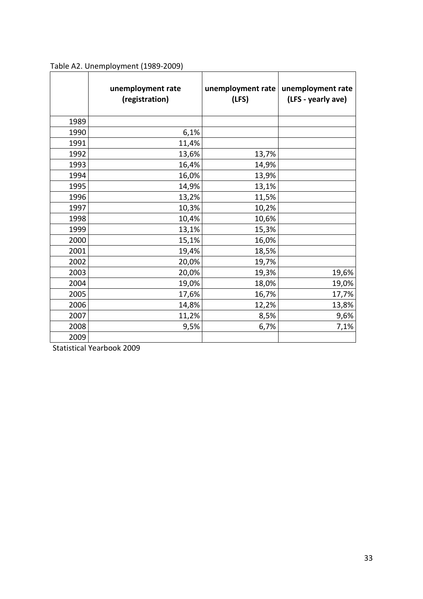|      | unemployment rate<br>(registration) | unemployment rate<br>(LFS) | unemployment rate<br>(LFS - yearly ave) |
|------|-------------------------------------|----------------------------|-----------------------------------------|
| 1989 |                                     |                            |                                         |
| 1990 | 6,1%                                |                            |                                         |
| 1991 | 11,4%                               |                            |                                         |
| 1992 | 13,6%                               | 13,7%                      |                                         |
| 1993 | 16,4%                               | 14,9%                      |                                         |
| 1994 | 16,0%                               | 13,9%                      |                                         |
| 1995 | 14,9%                               | 13,1%                      |                                         |
| 1996 | 13,2%                               | 11,5%                      |                                         |
| 1997 | 10,3%                               | 10,2%                      |                                         |
| 1998 | 10,4%                               | 10,6%                      |                                         |
| 1999 | 13,1%                               | 15,3%                      |                                         |
| 2000 | 15,1%                               | 16,0%                      |                                         |
| 2001 | 19,4%                               | 18,5%                      |                                         |
| 2002 | 20,0%                               | 19,7%                      |                                         |
| 2003 | 20,0%                               | 19,3%                      | 19,6%                                   |
| 2004 | 19,0%                               | 18,0%                      | 19,0%                                   |
| 2005 | 17,6%                               | 16,7%                      | 17,7%                                   |
| 2006 | 14,8%                               | 12,2%                      | 13,8%                                   |
| 2007 | 11,2%                               | 8,5%                       | 9,6%                                    |
| 2008 | 9,5%                                | 6,7%                       | 7,1%                                    |
| 2009 |                                     |                            |                                         |

Table A2. Unemployment (1989-2009)

Statistical Yearbook 2009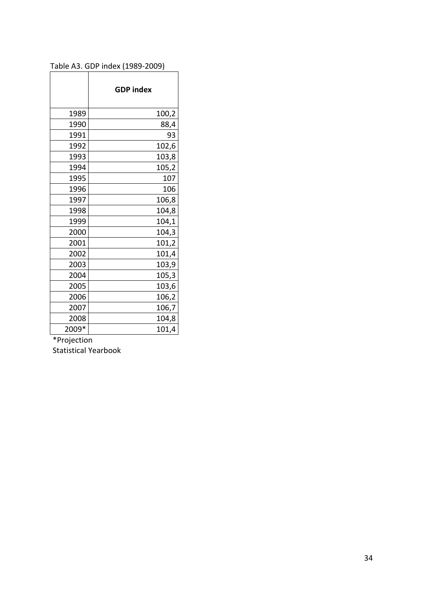|       | <b>GDP</b> index |
|-------|------------------|
| 1989  | 100,2            |
| 1990  | 88,4             |
| 1991  | 93               |
| 1992  | 102,6            |
| 1993  | 103,8            |
| 1994  | 105,2            |
| 1995  | 107              |
| 1996  | 106              |
| 1997  | 106,8            |
| 1998  | 104,8            |
| 1999  | 104,1            |
| 2000  | 104,3            |
| 2001  | 101,2            |
| 2002  | 101,4            |
| 2003  | 103,9            |
| 2004  | 105,3            |
| 2005  | 103,6            |
| 2006  | 106,2            |
| 2007  | 106,7            |
| 2008  | 104,8            |
| 2009* | 101,4            |

# Table A3. GDP index (1989-2009)

 $\frac{2000}{P}$ <br>\*Projection

Statistical Yearbook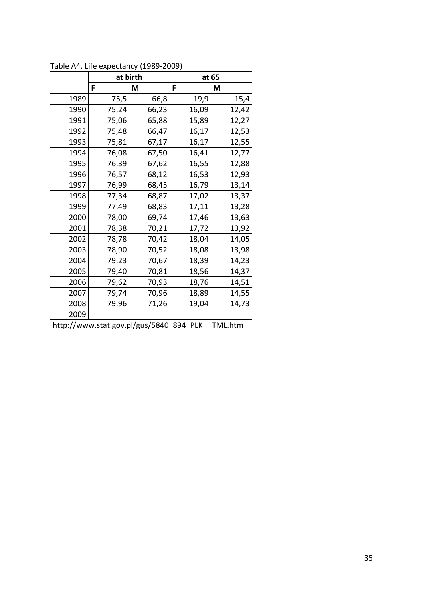|      |       | at birth |       | at 65 |
|------|-------|----------|-------|-------|
|      | F     | М        | F     | М     |
| 1989 | 75,5  | 66,8     | 19,9  | 15,4  |
| 1990 | 75,24 | 66,23    | 16,09 | 12,42 |
| 1991 | 75,06 | 65,88    | 15,89 | 12,27 |
| 1992 | 75,48 | 66,47    | 16,17 | 12,53 |
| 1993 | 75,81 | 67,17    | 16,17 | 12,55 |
| 1994 | 76,08 | 67,50    | 16,41 | 12,77 |
| 1995 | 76,39 | 67,62    | 16,55 | 12,88 |
| 1996 | 76,57 | 68,12    | 16,53 | 12,93 |
| 1997 | 76,99 | 68,45    | 16,79 | 13,14 |
| 1998 | 77,34 | 68,87    | 17,02 | 13,37 |
| 1999 | 77,49 | 68,83    | 17,11 | 13,28 |
| 2000 | 78,00 | 69,74    | 17,46 | 13,63 |
| 2001 | 78,38 | 70,21    | 17,72 | 13,92 |
| 2002 | 78,78 | 70,42    | 18,04 | 14,05 |
| 2003 | 78,90 | 70,52    | 18,08 | 13,98 |
| 2004 | 79,23 | 70,67    | 18,39 | 14,23 |
| 2005 | 79,40 | 70,81    | 18,56 | 14,37 |
| 2006 | 79,62 | 70,93    | 18,76 | 14,51 |
| 2007 | 79,74 | 70,96    | 18,89 | 14,55 |
| 2008 | 79,96 | 71,26    | 19,04 | 14,73 |
| 2009 |       |          |       |       |

Table A4. Life expectancy (1989-2009)

http://www.stat.gov.pl/gus/5840\_894\_PLK\_HTML.htm